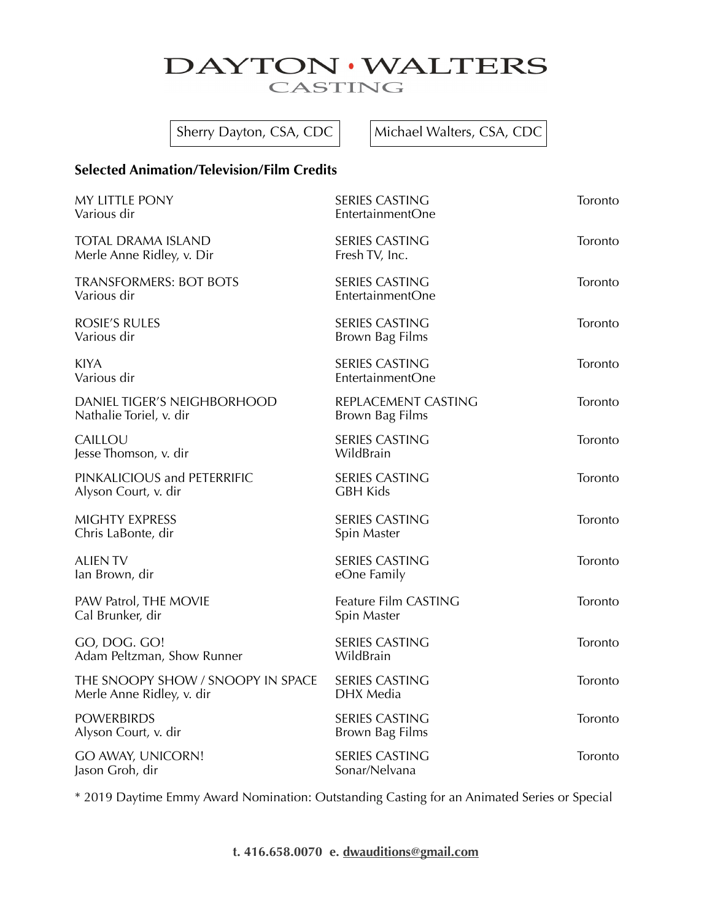## DAYTON · WALTERS CASTING

Sherry Dayton, CSA, CDC  $\vert$  Michael Walters, CSA, CDC

### **Selected Animation/Television/Film Credits**

| MY LITTLE PONY<br>Various dir                                  | <b>SERIES CASTING</b><br>EntertainmentOne | Toronto |
|----------------------------------------------------------------|-------------------------------------------|---------|
| <b>TOTAL DRAMA ISLAND</b><br>Merle Anne Ridley, v. Dir         | <b>SERIES CASTING</b><br>Fresh TV, Inc.   | Toronto |
| <b>TRANSFORMERS: BOT BOTS</b><br>Various dir                   | <b>SERIES CASTING</b><br>EntertainmentOne | Toronto |
| <b>ROSIE'S RULES</b><br>Various dir                            | <b>SERIES CASTING</b><br>Brown Bag Films  | Toronto |
| <b>KIYA</b><br>Various dir                                     | <b>SERIES CASTING</b><br>EntertainmentOne | Toronto |
| DANIEL TIGER'S NEIGHBORHOOD<br>Nathalie Toriel, v. dir         | REPLACEMENT CASTING<br>Brown Bag Films    | Toronto |
| CAILLOU<br>Jesse Thomson, v. dir                               | <b>SERIES CASTING</b><br>WildBrain        | Toronto |
| PINKALICIOUS and PETERRIFIC<br>Alyson Court, v. dir            | <b>SERIES CASTING</b><br><b>GBH Kids</b>  | Toronto |
| MIGHTY EXPRESS<br>Chris LaBonte, dir                           | <b>SERIES CASTING</b><br>Spin Master      | Toronto |
| <b>ALIEN TV</b><br>lan Brown, dir                              | <b>SERIES CASTING</b><br>eOne Family      | Toronto |
| PAW Patrol, THE MOVIE<br>Cal Brunker, dir                      | Feature Film CASTING<br>Spin Master       | Toronto |
| GO, DOG. GO!<br>Adam Peltzman, Show Runner                     | <b>SERIES CASTING</b><br>WildBrain        | Toronto |
| THE SNOOPY SHOW / SNOOPY IN SPACE<br>Merle Anne Ridley, v. dir | <b>SERIES CASTING</b><br>DHX Media        | Toronto |
| <b>POWERBIRDS</b><br>Alyson Court, v. dir                      | <b>SERIES CASTING</b><br>Brown Bag Films  | Toronto |
| GO AWAY, UNICORN!<br>Jason Groh, dir                           | <b>SERIES CASTING</b><br>Sonar/Nelvana    | Toronto |

\* 2019 Daytime Emmy Award Nomination: Outstanding Casting for an Animated Series or Special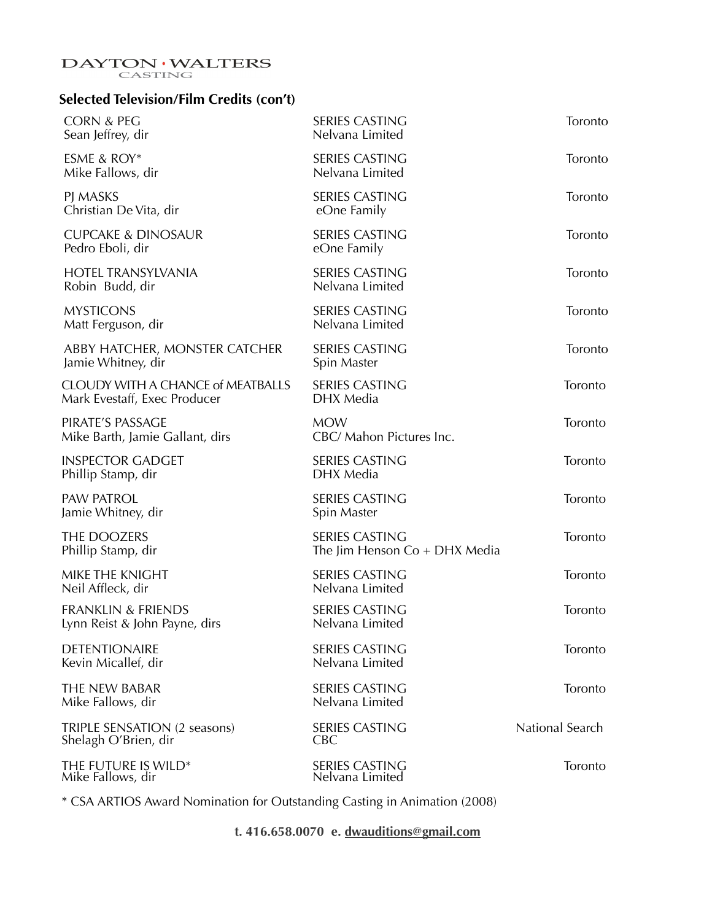# $\begin{matrix} \textbf{DAYTON} \cdot \textbf{WALTERS} \\ \textbf{CASTING} \end{matrix}$

### **Selected Television/Film Credits (con't)**

| <b>CORN &amp; PEG</b><br>Sean Jeffrey, dir                               | <b>SERIES CASTING</b><br>Nelvana Limited                 | Toronto         |
|--------------------------------------------------------------------------|----------------------------------------------------------|-----------------|
| ESME & ROY*<br>Mike Fallows, dir                                         | <b>SERIES CASTING</b><br>Nelvana Limited                 | Toronto         |
| PJ MASKS<br>Christian De Vita, dir                                       | <b>SERIES CASTING</b><br>eOne Family                     | Toronto         |
| <b>CUPCAKE &amp; DINOSAUR</b><br>Pedro Eboli, dir                        | <b>SERIES CASTING</b><br>eOne Family                     | Toronto         |
| <b>HOTEL TRANSYLVANIA</b><br>Robin Budd, dir                             | <b>SERIES CASTING</b><br>Nelvana Limited                 | Toronto         |
| <b>MYSTICONS</b><br>Matt Ferguson, dir                                   | <b>SERIES CASTING</b><br>Nelvana Limited                 | Toronto         |
| ABBY HATCHER, MONSTER CATCHER<br>Jamie Whitney, dir                      | <b>SERIES CASTING</b><br>Spin Master                     | Toronto         |
| <b>CLOUDY WITH A CHANCE of MEATBALLS</b><br>Mark Evestaff, Exec Producer | <b>SERIES CASTING</b><br>DHX Media                       | Toronto         |
| PIRATE'S PASSAGE<br>Mike Barth, Jamie Gallant, dirs                      | <b>MOW</b><br>CBC/ Mahon Pictures Inc.                   | Toronto         |
| <b>INSPECTOR GADGET</b><br>Phillip Stamp, dir                            | <b>SERIES CASTING</b><br>DHX Media                       | Toronto         |
| <b>PAW PATROL</b><br>Jamie Whitney, dir                                  | <b>SERIES CASTING</b><br>Spin Master                     | Toronto         |
| THE DOOZERS<br>Phillip Stamp, dir                                        | <b>SERIES CASTING</b><br>The Jim Henson $Co + DHX$ Media | Toronto         |
| MIKE THE KNIGHT<br>Neil Affleck, dir                                     | <b>SERIES CASTING</b><br>Nelvana Limited                 | Toronto         |
| <b>FRANKLIN &amp; FRIENDS</b><br>Lynn Reist & John Payne, dirs           | <b>SERIES CASTING</b><br>Nelvana Limited                 | Toronto         |
| <b>DETENTIONAIRE</b><br>Kevin Micallef, dir                              | <b>SERIES CASTING</b><br>Nelvana Limited                 | Toronto         |
| THE NEW BABAR<br>Mike Fallows, dir                                       | <b>SERIES CASTING</b><br>Nelvana Limited                 | Toronto         |
| TRIPLE SENSATION (2 seasons)<br>Shelagh O'Brien, dir                     | <b>SERIES CASTING</b><br><b>CBC</b>                      | National Search |
| THE FUTURE IS WILD*<br>Mike Fallows, dir                                 | SERIES CASTING<br>Nelvana Limited                        | Toronto         |
|                                                                          |                                                          |                 |

\* CSA ARTIOS Award Nomination for Outstanding Casting in Animation (2008)

**t. 416.658.0070 e. [dwauditions@gmail.com](mailto:daytonwalters@sympatico.ca)**